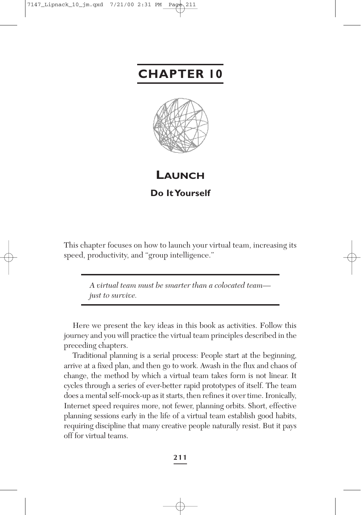# **CHAPTER 10**



**LAUNCH**

**Do It Yourself**

This chapter focuses on how to launch your virtual team, increasing its speed, productivity, and "group intelligence."

> *A virtual team must be smarter than a colocated team just to survive.*

Here we present the key ideas in this book as activities. Follow this journey and you will practice the virtual team principles described in the preceding chapters.

Traditional planning is a serial process: People start at the beginning, arrive at a fixed plan, and then go to work. Awash in the flux and chaos of change, the method by which a virtual team takes form is not linear. It cycles through a series of ever-better rapid prototypes of itself. The team does a mental self-mock-up as it starts, then refines it over time. Ironically, Internet speed requires more, not fewer, planning orbits. Short, effective planning sessions early in the life of a virtual team establish good habits, requiring discipline that many creative people naturally resist. But it pays off for virtual teams.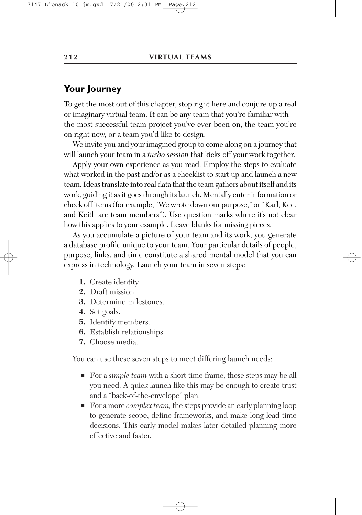## **Your Journey**

To get the most out of this chapter, stop right here and conjure up a real or imaginary virtual team. It can be any team that you're familiar with the most successful team project you've ever been on, the team you're on right now, or a team you'd like to design.

We invite you and your imagined group to come along on a journey that will launch your team in a *turbo session* that kicks off your work together.

Apply your own experience as you read. Employ the steps to evaluate what worked in the past and/or as a checklist to start up and launch a new team. Ideas translate into real data that the team gathers about itself and its work, guiding it as it goes through its launch. Mentally enter information or check off items (for example, "We wrote down our purpose," or "Karl, Kee, and Keith are team members"). Use question marks where it's not clear how this applies to your example. Leave blanks for missing pieces.

As you accumulate a picture of your team and its work, you generate a database profile unique to your team. Your particular details of people, purpose, links, and time constitute a shared mental model that you can express in technology. Launch your team in seven steps:

- **1.** Create identity.
- **2.** Draft mission.
- **3.** Determine milestones.
- **4.** Set goals.
- **5.** Identify members.
- **6.** Establish relationships.
- **7.** Choose media.

You can use these seven steps to meet differing launch needs:

- For a *simple team* with a short time frame, these steps may be all you need. A quick launch like this may be enough to create trust and a "back-of-the-envelope" plan.
- For a more *complex team*, the steps provide an early planning loop to generate scope, define frameworks, and make long-lead-time decisions. This early model makes later detailed planning more effective and faster.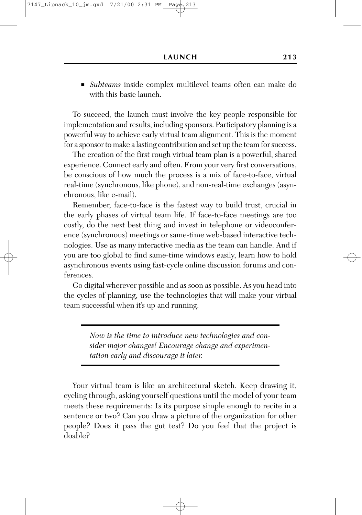■ *Subteams* inside complex multilevel teams often can make do with this basic launch.

To succeed, the launch must involve the key people responsible for implementation and results, including sponsors. Participatory planning is a powerful way to achieve early virtual team alignment. This is the moment for a sponsor to make a lasting contribution and set up the team for success.

The creation of the first rough virtual team plan is a powerful, shared experience. Connect early and often. From your very first conversations, be conscious of how much the process is a mix of face-to-face, virtual real-time (synchronous, like phone), and non-real-time exchanges (asynchronous, like e-mail).

Remember, face-to-face is the fastest way to build trust, crucial in the early phases of virtual team life. If face-to-face meetings are too costly, do the next best thing and invest in telephone or videoconference (synchronous) meetings or same-time web-based interactive technologies. Use as many interactive media as the team can handle. And if you are too global to find same-time windows easily, learn how to hold asynchronous events using fast-cycle online discussion forums and conferences.

Go digital wherever possible and as soon as possible. As you head into the cycles of planning, use the technologies that will make your virtual team successful when it's up and running.

> *Now is the time to introduce new technologies and consider major changes! Encourage change and experimentation early and discourage it later.*

Your virtual team is like an architectural sketch. Keep drawing it, cycling through, asking yourself questions until the model of your team meets these requirements: Is its purpose simple enough to recite in a sentence or two? Can you draw a picture of the organization for other people? Does it pass the gut test? Do you feel that the project is doable?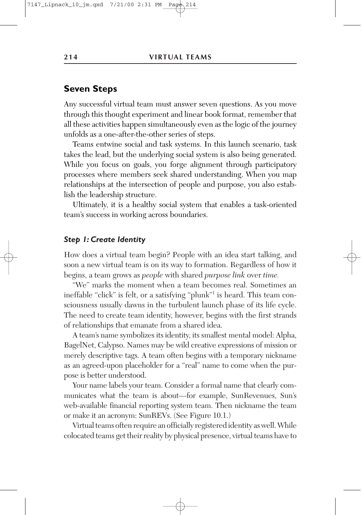### **Seven Steps**

Any successful virtual team must answer seven questions. As you move through this thought experiment and linear book format, remember that all these activities happen simultaneously even as the logic of the journey unfolds as a one-after-the-other series of steps.

Teams entwine social and task systems. In this launch scenario, task takes the lead, but the underlying social system is also being generated. While you focus on goals, you forge alignment through participatory processes where members seek shared understanding. When you map relationships at the intersection of people and purpose, you also establish the leadership structure.

Ultimately, it is a healthy social system that enables a task-oriented team's success in working across boundaries.

#### *Step 1: Create Identity*

How does a virtual team begin? People with an idea start talking, and soon a new virtual team is on its way to formation. Regardless of how it begins, a team grows as *people* with shared *purpose link* over *time.*

"We" marks the moment when a team becomes real. Sometimes an ineffable "click" is felt, or a satisfying "plunk"<sup>1</sup> is heard. This team consciousness usually dawns in the turbulent launch phase of its life cycle. The need to create team identity, however, begins with the first strands of relationships that emanate from a shared idea.

A team's name symbolizes its identity, its smallest mental model: Alpha, BagelNet, Calypso. Names may be wild creative expressions of mission or merely descriptive tags. A team often begins with a temporary nickname as an agreed-upon placeholder for a "real" name to come when the purpose is better understood.

Your name labels your team. Consider a formal name that clearly communicates what the team is about—for example, SunRevenues, Sun's web-available financial reporting system team. Then nickname the team or make it an acronym: SunREVs. (See Figure 10.1.)

Virtual teams often require an officially registered identity as well. While colocated teams get their reality by physical presence, virtual teams have to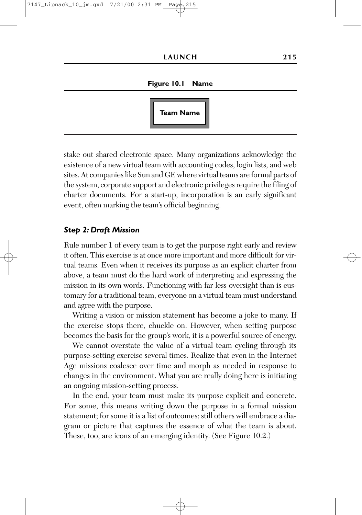**Figure 10.1 Name**



stake out shared electronic space. Many organizations acknowledge the existence of a new virtual team with accounting codes, login lists, and web sites. At companies like Sun and GE where virtual teams are formal parts of the system, corporate support and electronic privileges require the filing of charter documents. For a start-up, incorporation is an early significant event, often marking the team's official beginning.

#### *Step 2: Draft Mission*

Rule number 1 of every team is to get the purpose right early and review it often. This exercise is at once more important and more difficult for virtual teams. Even when it receives its purpose as an explicit charter from above, a team must do the hard work of interpreting and expressing the mission in its own words. Functioning with far less oversight than is customary for a traditional team, everyone on a virtual team must understand and agree with the purpose.

Writing a vision or mission statement has become a joke to many. If the exercise stops there, chuckle on. However, when setting purpose becomes the basis for the group's work, it is a powerful source of energy.

We cannot overstate the value of a virtual team cycling through its purpose-setting exercise several times. Realize that even in the Internet Age missions coalesce over time and morph as needed in response to changes in the environment. What you are really doing here is initiating an ongoing mission-setting process.

In the end, your team must make its purpose explicit and concrete. For some, this means writing down the purpose in a formal mission statement; for some it is a list of outcomes; still others will embrace a diagram or picture that captures the essence of what the team is about. These, too, are icons of an emerging identity. (See Figure 10.2.)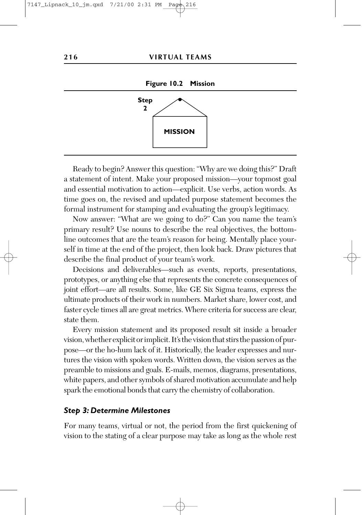

Ready to begin? Answer this question: "Why are we doing this?" Draft a statement of intent. Make your proposed mission—your topmost goal and essential motivation to action—explicit. Use verbs, action words. As time goes on, the revised and updated purpose statement becomes the formal instrument for stamping and evaluating the group's legitimacy.

Now answer: "What are we going to do?" Can you name the team's primary result? Use nouns to describe the real objectives, the bottomline outcomes that are the team's reason for being. Mentally place yourself in time at the end of the project, then look back. Draw pictures that describe the final product of your team's work.

Decisions and deliverables—such as events, reports, presentations, prototypes, or anything else that represents the concrete consequences of joint effort—are all results. Some, like GE Six Sigma teams, express the ultimate products of their work in numbers. Market share, lower cost, and faster cycle times all are great metrics. Where criteria for success are clear, state them.

Every mission statement and its proposed result sit inside a broader vision, whether explicit or implicit. It's the vision that stirs the passion of purpose—or the ho-hum lack of it. Historically, the leader expresses and nurtures the vision with spoken words. Written down, the vision serves as the preamble to missions and goals. E-mails, memos, diagrams, presentations, white papers, and other symbols of shared motivation accumulate and help spark the emotional bonds that carry the chemistry of collaboration.

#### *Step 3: Determine Milestones*

For many teams, virtual or not, the period from the first quickening of vision to the stating of a clear purpose may take as long as the whole rest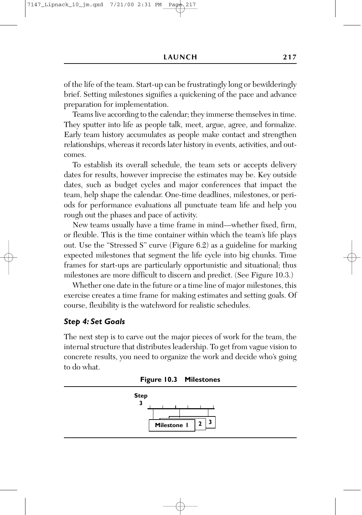of the life of the team. Start-up can be frustratingly long or bewilderingly brief. Setting milestones signifies a quickening of the pace and advance preparation for implementation.

Teams live according to the calendar; they immerse themselves in time. They sputter into life as people talk, meet, argue, agree, and formalize. Early team history accumulates as people make contact and strengthen relationships, whereas it records later history in events, activities, and outcomes.

To establish its overall schedule, the team sets or accepts delivery dates for results, however imprecise the estimates may be. Key outside dates, such as budget cycles and major conferences that impact the team, help shape the calendar. One-time deadlines, milestones, or periods for performance evaluations all punctuate team life and help you rough out the phases and pace of activity.

New teams usually have a time frame in mind—whether fixed, firm, or flexible. This is the time container within which the team's life plays out. Use the "Stressed S" curve (Figure 6.2) as a guideline for marking expected milestones that segment the life cycle into big chunks. Time frames for start-ups are particularly opportunistic and situational; thus milestones are more difficult to discern and predict. (See Figure 10.3.)

Whether one date in the future or a time line of major milestones, this exercise creates a time frame for making estimates and setting goals. Of course, flexibility is the watchword for realistic schedules.

#### *Step 4: Set Goals*

The next step is to carve out the major pieces of work for the team, the internal structure that distributes leadership. To get from vague vision to concrete results, you need to organize the work and decide who's going to do what.



**Figure 10.3 Milestones**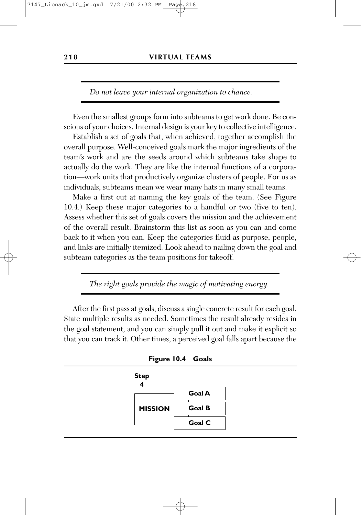*Do not leave your internal organization to chance.*

Even the smallest groups form into subteams to get work done. Be conscious of your choices. Internal design is your key to collective intelligence.

Establish a set of goals that, when achieved, together accomplish the overall purpose. Well-conceived goals mark the major ingredients of the team's work and are the seeds around which subteams take shape to actually do the work. They are like the internal functions of a corporation—work units that productively organize clusters of people. For us as individuals, subteams mean we wear many hats in many small teams.

Make a first cut at naming the key goals of the team. (See Figure 10.4.) Keep these major categories to a handful or two (five to ten). Assess whether this set of goals covers the mission and the achievement of the overall result. Brainstorm this list as soon as you can and come back to it when you can. Keep the categories fluid as purpose, people, and links are initially itemized. Look ahead to nailing down the goal and subteam categories as the team positions for takeoff.

*The right goals provide the magic of motivating energy.*

After the first pass at goals, discuss a single concrete result for each goal. State multiple results as needed. Sometimes the result already resides in the goal statement, and you can simply pull it out and make it explicit so that you can track it. Other times, a perceived goal falls apart because the

**Figure 10.4 Goals**

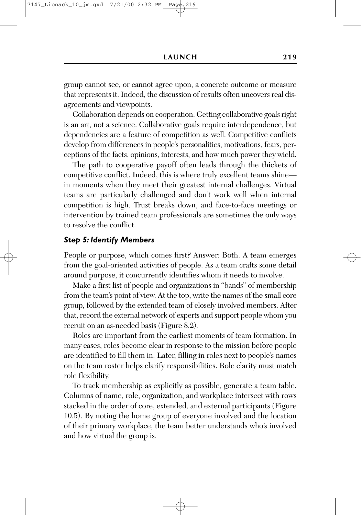group cannot see, or cannot agree upon, a concrete outcome or measure that represents it. Indeed, the discussion of results often uncovers real disagreements and viewpoints.

Collaboration depends on cooperation. Getting collaborative goals right is an art, not a science. Collaborative goals require interdependence, but dependencies are a feature of competition as well. Competitive conflicts develop from differences in people's personalities, motivations, fears, perceptions of the facts, opinions, interests, and how much power they wield.

The path to cooperative payoff often leads through the thickets of competitive conflict. Indeed, this is where truly excellent teams shine in moments when they meet their greatest internal challenges. Virtual teams are particularly challenged and don't work well when internal competition is high. Trust breaks down, and face-to-face meetings or intervention by trained team professionals are sometimes the only ways to resolve the conflict.

#### *Step 5: Identify Members*

People or purpose, which comes first? Answer: Both. A team emerges from the goal-oriented activities of people. As a team crafts some detail around purpose, it concurrently identifies whom it needs to involve.

Make a first list of people and organizations in "bands" of membership from the team's point of view. At the top, write the names of the small core group, followed by the extended team of closely involved members. After that, record the external network of experts and support people whom you recruit on an as-needed basis (Figure 8.2).

Roles are important from the earliest moments of team formation. In many cases, roles become clear in response to the mission before people are identified to fill them in. Later, filling in roles next to people's names on the team roster helps clarify responsibilities. Role clarity must match role flexibility.

To track membership as explicitly as possible, generate a team table. Columns of name, role, organization, and workplace intersect with rows stacked in the order of core, extended, and external participants (Figure 10.5). By noting the home group of everyone involved and the location of their primary workplace, the team better understands who's involved and how virtual the group is.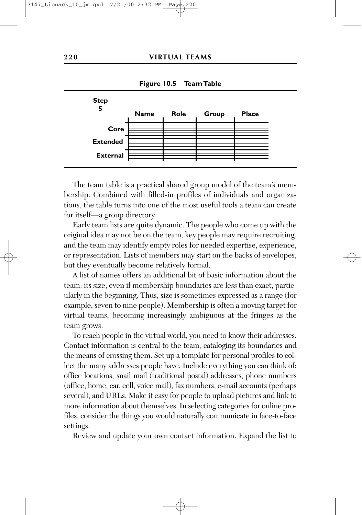

**Figure 10.5 Team Table**

The team table is a practical shared group model of the team's membership. Combined with filled-in profiles of individuals and organizations, the table turns into one of the most useful tools a team can create for itself—a group directory.

Early team lists are quite dynamic. The people who come up with the original idea may not be on the team, key people may require recruiting, and the team may identify empty roles for needed expertise, experience, or representation. Lists of members may start on the backs of envelopes, but they eventually become relatively formal.

A list of names offers an additional bit of basic information about the team: its size, even if membership boundaries are less than exact, particularly in the beginning. Thus, size is sometimes expressed as a range (for example, seven to nine people). Membership is often a moving target for virtual teams, becoming increasingly ambiguous at the fringes as the team grows.

To reach people in the virtual world, you need to know their addresses. Contact information is central to the team, cataloging its boundaries and the means of crossing them. Set up a template for personal profiles to collect the many addresses people have. Include everything you can think of: office locations, snail mail (traditional postal) addresses, phone numbers (office, home, car, cell, voice mail), fax numbers, e-mail accounts (perhaps several), and URLs. Make it easy for people to upload pictures and link to more information about themselves. In selecting categories for online profiles, consider the things you would naturally communicate in face-to-face settings.

Review and update your own contact information. Expand the list to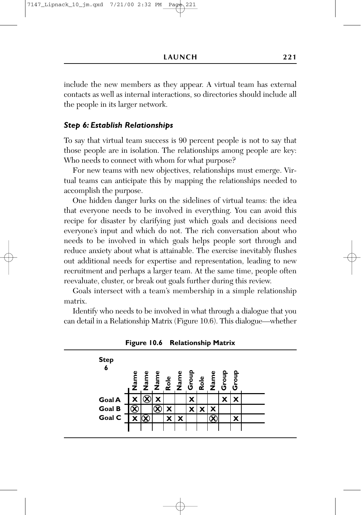include the new members as they appear. A virtual team has external contacts as well as internal interactions, so directories should include all the people in its larger network.

#### *Step 6: Establish Relationships*

To say that virtual team success is 90 percent people is not to say that those people are in isolation. The relationships among people are key: Who needs to connect with whom for what purpose?

For new teams with new objectives, relationships must emerge. Virtual teams can anticipate this by mapping the relationships needed to accomplish the purpose.

One hidden danger lurks on the sidelines of virtual teams: the idea that everyone needs to be involved in everything. You can avoid this recipe for disaster by clarifying just which goals and decisions need everyone's input and which do not. The rich conversation about who needs to be involved in which goals helps people sort through and reduce anxiety about what is attainable. The exercise inevitably flushes out additional needs for expertise and representation, leading to new recruitment and perhaps a larger team. At the same time, people often reevaluate, cluster, or break out goals further during this review.

Goals intersect with a team's membership in a simple relationship matrix.

Identify who needs to be involved in what through a dialogue that you can detail in a Relationship Matrix (Figure 10.6). This dialogue—whether

| <b>Step</b>   |                                                                                                                                                                                                                                      |  |   |   |   |   |      |      |  |
|---------------|--------------------------------------------------------------------------------------------------------------------------------------------------------------------------------------------------------------------------------------|--|---|---|---|---|------|------|--|
| 6             |                                                                                                                                                                                                                                      |  |   |   |   |   |      |      |  |
|               |                                                                                                                                                                                                                                      |  |   |   |   |   | Grou | Grou |  |
|               | Name de Maria de Maria de Maria de Maria de Maria de Maria de Maria de Maria de Maria de Maria de Maria de Mar<br>Name de Maria de Maria de Maria de Maria de Maria de Maria de Maria de Maria de Maria de Maria de Maria de Mar<br> |  |   |   |   |   |      |      |  |
| <b>Goal A</b> |                                                                                                                                                                                                                                      |  |   |   |   |   | X    | X    |  |
| <b>Goal B</b> |                                                                                                                                                                                                                                      |  |   | х | х | X |      |      |  |
| Goal C        |                                                                                                                                                                                                                                      |  | х |   |   |   |      | x    |  |

**Figure 10.6 Relationship Matrix**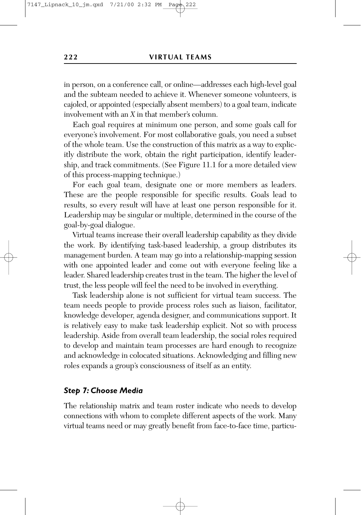in person, on a conference call, or online—addresses each high-level goal and the subteam needed to achieve it. Whenever someone volunteers, is cajoled, or appointed (especially absent members) to a goal team, indicate involvement with an *X* in that member's column.

Each goal requires at minimum one person, and some goals call for everyone's involvement. For most collaborative goals, you need a subset of the whole team. Use the construction of this matrix as a way to explicitly distribute the work, obtain the right participation, identify leadership, and track commitments. (See Figure 11.1 for a more detailed view of this process-mapping technique.)

For each goal team, designate one or more members as leaders. These are the people responsible for specific results. Goals lead to results, so every result will have at least one person responsible for it. Leadership may be singular or multiple, determined in the course of the goal-by-goal dialogue.

Virtual teams increase their overall leadership capability as they divide the work. By identifying task-based leadership, a group distributes its management burden. A team may go into a relationship-mapping session with one appointed leader and come out with everyone feeling like a leader. Shared leadership creates trust in the team. The higher the level of trust, the less people will feel the need to be involved in everything.

Task leadership alone is not sufficient for virtual team success. The team needs people to provide process roles such as liaison, facilitator, knowledge developer, agenda designer, and communications support. It is relatively easy to make task leadership explicit. Not so with process leadership. Aside from overall team leadership, the social roles required to develop and maintain team processes are hard enough to recognize and acknowledge in colocated situations. Acknowledging and filling new roles expands a group's consciousness of itself as an entity.

#### *Step 7: Choose Media*

The relationship matrix and team roster indicate who needs to develop connections with whom to complete different aspects of the work. Many virtual teams need or may greatly benefit from face-to-face time, particu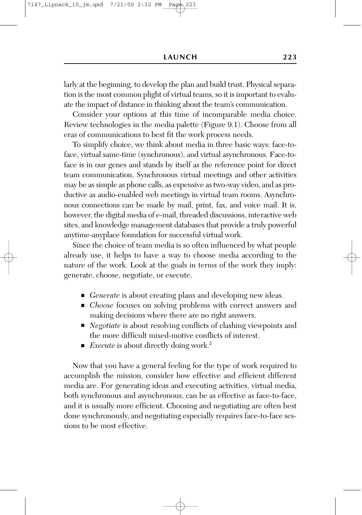larly at the beginning, to develop the plan and build trust. Physical separation is the most common plight of virtual teams, so it is important to evaluate the impact of distance in thinking about the team's communication.

Consider your options at this time of incomparable media choice. Review technologies in the media palette (Figure 9.1). Choose from all eras of communications to best fit the work process needs.

To simplify choice, we think about media in three basic ways: face-toface, virtual same-time (synchronous), and virtual asynchronous. Face-toface is in our genes and stands by itself as the reference point for direct team communication. Synchronous virtual meetings and other activities may be as simple as phone calls, as expensive as two-way video, and as productive as audio-enabled web meetings in virtual team rooms. Asynchronous connections can be made by mail, print, fax, and voice mail. It is, however, the digital media of e-mail, threaded discussions, interactive web sites, and knowledge management databases that provide a truly powerful anytime-anyplace foundation for successful virtual work.

Since the choice of team media is so often influenced by what people already use, it helps to have a way to choose media according to the nature of the work. Look at the goals in terms of the work they imply: generate, choose, negotiate, or execute.

- *Generate* is about creating plans and developing new ideas.
- *Choose* focuses on solving problems with correct answers and making decisions where there are no right answers.
- *Negotiate* is about resolving conflicts of clashing viewpoints and the more difficult mixed-motive conflicts of interest.
- *Execute* is about directly doing work.<sup>2</sup>

Now that you have a general feeling for the type of work required to accomplish the mission, consider how effective and efficient different media are. For generating ideas and executing activities, virtual media, both synchronous and asynchronous, can be as effective as face-to-face, and it is usually more efficient. Choosing and negotiating are often best done synchronously, and negotiating especially requires face-to-face sessions to be most effective.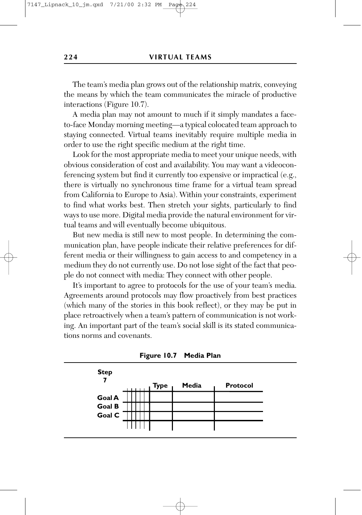The team's media plan grows out of the relationship matrix, conveying the means by which the team communicates the miracle of productive interactions (Figure 10.7).

A media plan may not amount to much if it simply mandates a faceto-face Monday morning meeting—a typical colocated team approach to staying connected. Virtual teams inevitably require multiple media in order to use the right specific medium at the right time.

Look for the most appropriate media to meet your unique needs, with obvious consideration of cost and availability. You may want a videoconferencing system but find it currently too expensive or impractical (e.g., there is virtually no synchronous time frame for a virtual team spread from California to Europe to Asia). Within your constraints, experiment to find what works best. Then stretch your sights, particularly to find ways to use more. Digital media provide the natural environment for virtual teams and will eventually become ubiquitous.

But new media is still new to most people. In determining the communication plan, have people indicate their relative preferences for different media or their willingness to gain access to and competency in a medium they do not currently use. Do not lose sight of the fact that people do not connect with media: They connect with other people.

It's important to agree to protocols for the use of your team's media. Agreements around protocols may flow proactively from best practices (which many of the stories in this book reflect), or they may be put in place retroactively when a team's pattern of communication is not working. An important part of the team's social skill is its stated communications norms and covenants.



**Figure 10.7 Media Plan**